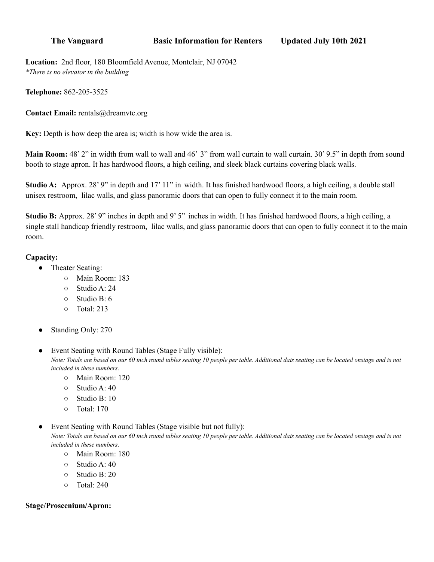**Location:** 2nd floor, 180 Bloomfield Avenue, Montclair, NJ 07042 *\*There is no elevator in the building*

**Telephone:** 862-205-3525

**Contact Email:** rentals@dreamvtc.org

**Key:** Depth is how deep the area is; width is how wide the area is.

**Main Room:** 48' 2" in width from wall to wall and 46' 3" from wall curtain to wall curtain. 30' 9.5" in depth from sound booth to stage apron. It has hardwood floors, a high ceiling, and sleek black curtains covering black walls.

**Studio A:** Approx. 28' 9" in depth and 17' 11" in width. It has finished hardwood floors, a high ceiling, a double stall unisex restroom, lilac walls, and glass panoramic doors that can open to fully connect it to the main room.

**Studio B:** Approx. 28' 9" inches in depth and 9' 5" inches in width. It has finished hardwood floors, a high ceiling, a single stall handicap friendly restroom, lilac walls, and glass panoramic doors that can open to fully connect it to the main room.

#### **Capacity:**

- **●** Theater Seating:
	- Main Room: 183
	- Studio A: 24
	- Studio B: 6
	- Total: 213
- Standing Only: 270
- Event Seating with Round Tables (Stage Fully visible): *Note: Totals are based on our 60 inch round tables seating 10 people per table. Additional dais seating can be located onstage and is not included in these numbers.*
	- Main Room: 120
	- $\circ$  Studio A: 40
	- Studio B: 10
	- Total: 170

Event Seating with Round Tables (Stage visible but not fully): *Note: Totals are based on our 60 inch round tables seating 10 people per table. Additional dais seating can be located onstage and is not included in these numbers.*

- Main Room: 180
- $\circ$  Studio A: 40
- Studio B: 20
- Total: 240

### **Stage/Proscenium/Apron:**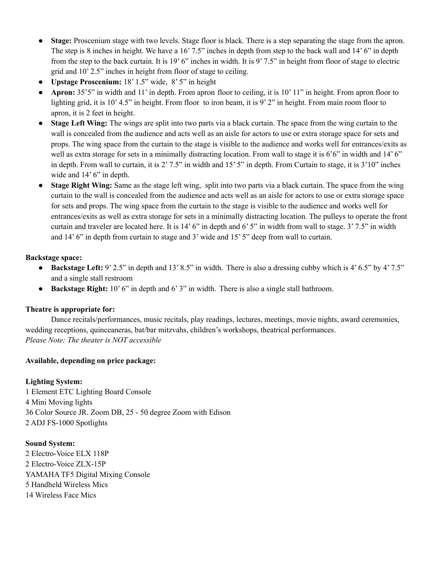- **Stage:** Proscenium stage with two levels. Stage floor is black. There is a step separating the stage from the apron. The step is 8 inches in height. We have a 16' 7.5" inches in depth from step to the back wall and 14' 6" in depth from the step to the back curtain. It is 19' 6" inches in width. It is 9' 7.5" in height from floor of stage to electric grid and 10' 2.5" inches in height from floor of stage to ceiling.
- **Upstage Proscenium:** 18' 1.5" wide, 8' 5" in height
- **Apron:** 35'5" in width and 11' in depth. From apron floor to ceiling, it is 10' 11" in height. From apron floor to lighting grid, it is 10' 4.5" in height. From floor to iron beam, it is 9' 2" in height. From main room floor to apron, it is 2 feet in height.
- **Stage Left Wing:** The wings are split into two parts via a black curtain. The space from the wing curtain to the wall is concealed from the audience and acts well as an aisle for actors to use or extra storage space for sets and props. The wing space from the curtain to the stage is visible to the audience and works well for entrances/exits as well as extra storage for sets in a minimally distracting location. From wall to stage it is 6'6" in width and 14' 6" in depth. From wall to curtain, it is 2' 7.5" in width and 15' 5" in depth. From Curtain to stage, it is 3'10" inches wide and 14' 6" in depth.
- **Stage Right Wing:** Same as the stage left wing, split into two parts via a black curtain. The space from the wing curtain to the wall is concealed from the audience and acts well as an aisle for actors to use or extra storage space for sets and props. The wing space from the curtain to the stage is visible to the audience and works well for entrances/exits as well as extra storage for sets in a minimally distracting location. The pulleys to operate the front curtain and traveler are located here. It is 14' 6" in depth and 6' 5" in width from wall to stage. 3' 7.5" in width and 14' 6" in depth from curtain to stage and 3' wide and 15' 5" deep from wall to curtain.

### **Backstage space:**

- **Backstage Left:** 9' 2.5" in depth and 13' 8.5" in width. There is also a dressing cubby which is 4' 6.5" by 4' 7.5" and a single stall restroom
- **Backstage Right:** 10' 6" in depth and 6' 3" in width. There is also a single stall bathroom.

## **Theatre is appropriate for:**

Dance recitals/performances, music recitals, play readings, lectures, meetings, movie nights, award ceremonies, wedding receptions, quinceaneras, bat/bar mitzvahs, children's workshops, theatrical performances. *Please Note: The theater is NOT accessible*

## **Available, depending on price package:**

### **Lighting System:**

 Element ETC Lighting Board Console Mini Moving lights Color Source JR. Zoom DB, 25 - 50 degree Zoom with Edison ADJ FS-1000 Spotlights

**Sound System:** Electro-Voice ELX 118P Electro-Voice ZLX-15P YAMAHA TF5 Digital Mixing Console Handheld Wireless Mics Wireless Face Mics